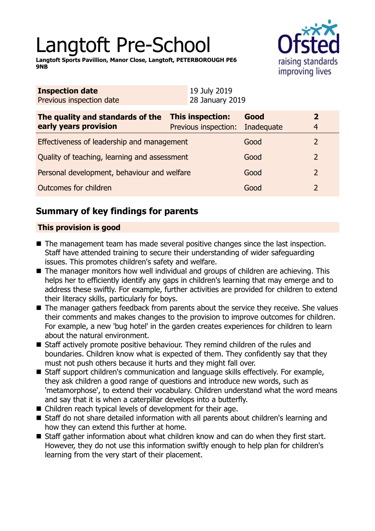# Langtoft Pre-School

**Langtoft Sports Pavillion, Manor Close, Langtoft, PETERBOROUGH PE6 9NB**



| <b>Inspection date</b><br>Previous inspection date        | 19 July 2019<br>28 January 2019          |                    |                                  |
|-----------------------------------------------------------|------------------------------------------|--------------------|----------------------------------|
| The quality and standards of the<br>early years provision | This inspection:<br>Previous inspection: | Good<br>Inadequate | $\overline{2}$<br>$\overline{4}$ |
| Effectiveness of leadership and management                |                                          | Good               | $\overline{2}$                   |
| Quality of teaching, learning and assessment              |                                          | Good               | $\overline{2}$                   |
| Personal development, behaviour and welfare               |                                          | Good               | $\overline{2}$                   |
| Outcomes for children                                     |                                          | Good               | $\overline{2}$                   |

## **Summary of key findings for parents**

## **This provision is good**

- $\blacksquare$  The management team has made several positive changes since the last inspection. Staff have attended training to secure their understanding of wider safeguarding issues. This promotes children's safety and welfare.
- $\blacksquare$  The manager monitors how well individual and groups of children are achieving. This helps her to efficiently identify any gaps in children's learning that may emerge and to address these swiftly. For example, further activities are provided for children to extend their literacy skills, particularly for boys.
- $\blacksquare$  The manager gathers feedback from parents about the service they receive. She values their comments and makes changes to the provision to improve outcomes for children. For example, a new 'bug hotel' in the garden creates experiences for children to learn about the natural environment.
- $\blacksquare$  Staff actively promote positive behaviour. They remind children of the rules and boundaries. Children know what is expected of them. They confidently say that they must not push others because it hurts and they might fall over.
- Staff support children's communication and language skills effectively. For example, they ask children a good range of questions and introduce new words, such as 'metamorphose', to extend their vocabulary. Children understand what the word means and say that it is when a caterpillar develops into a butterfly.
- $\blacksquare$  Children reach typical levels of development for their age.
- Staff do not share detailed information with all parents about children's learning and how they can extend this further at home.
- $\blacksquare$  Staff gather information about what children know and can do when they first start. However, they do not use this information swiftly enough to help plan for children's learning from the very start of their placement.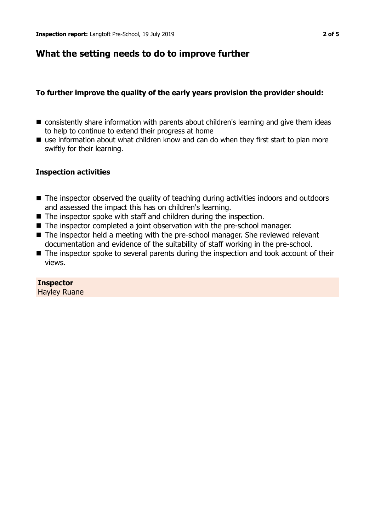## **What the setting needs to do to improve further**

## **To further improve the quality of the early years provision the provider should:**

- $\blacksquare$  consistently share information with parents about children's learning and give them ideas to help to continue to extend their progress at home
- $\blacksquare$  use information about what children know and can do when they first start to plan more swiftly for their learning.

#### **Inspection activities**

- The inspector observed the quality of teaching during activities indoors and outdoors and assessed the impact this has on children's learning.
- $\blacksquare$  The inspector spoke with staff and children during the inspection.
- $\blacksquare$  The inspector completed a joint observation with the pre-school manager.
- $\blacksquare$  The inspector held a meeting with the pre-school manager. She reviewed relevant documentation and evidence of the suitability of staff working in the pre-school.
- $\blacksquare$  The inspector spoke to several parents during the inspection and took account of their views.

**Inspector** Hayley Ruane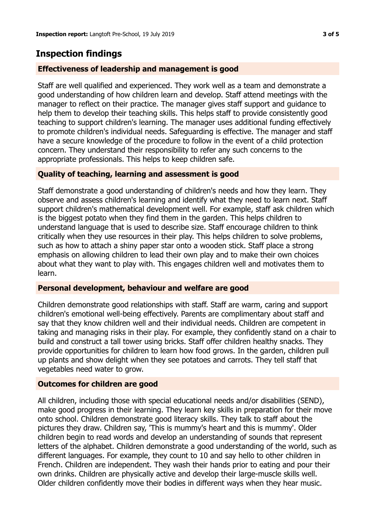## **Inspection findings**

## **Effectiveness of leadership and management is good**

Staff are well qualified and experienced. They work well as a team and demonstrate a good understanding of how children learn and develop. Staff attend meetings with the manager to reflect on their practice. The manager gives staff support and guidance to help them to develop their teaching skills. This helps staff to provide consistently good teaching to support children's learning. The manager uses additional funding effectively to promote children's individual needs. Safeguarding is effective. The manager and staff have a secure knowledge of the procedure to follow in the event of a child protection concern. They understand their responsibility to refer any such concerns to the appropriate professionals. This helps to keep children safe.

## **Quality of teaching, learning and assessment is good**

Staff demonstrate a good understanding of children's needs and how they learn. They observe and assess children's learning and identify what they need to learn next. Staff support children's mathematical development well. For example, staff ask children which is the biggest potato when they find them in the garden. This helps children to understand language that is used to describe size. Staff encourage children to think critically when they use resources in their play. This helps children to solve problems, such as how to attach a shiny paper star onto a wooden stick. Staff place a strong emphasis on allowing children to lead their own play and to make their own choices about what they want to play with. This engages children well and motivates them to learn.

#### **Personal development, behaviour and welfare are good**

Children demonstrate good relationships with staff. Staff are warm, caring and support children's emotional well-being effectively. Parents are complimentary about staff and say that they know children well and their individual needs. Children are competent in taking and managing risks in their play. For example, they confidently stand on a chair to build and construct a tall tower using bricks. Staff offer children healthy snacks. They provide opportunities for children to learn how food grows. In the garden, children pull up plants and show delight when they see potatoes and carrots. They tell staff that vegetables need water to grow.

#### **Outcomes for children are good**

All children, including those with special educational needs and/or disabilities (SEND), make good progress in their learning. They learn key skills in preparation for their move onto school. Children demonstrate good literacy skills. They talk to staff about the pictures they draw. Children say, 'This is mummy's heart and this is mummy'. Older children begin to read words and develop an understanding of sounds that represent letters of the alphabet. Children demonstrate a good understanding of the world, such as different languages. For example, they count to 10 and say hello to other children in French. Children are independent. They wash their hands prior to eating and pour their own drinks. Children are physically active and develop their large-muscle skills well. Older children confidently move their bodies in different ways when they hear music.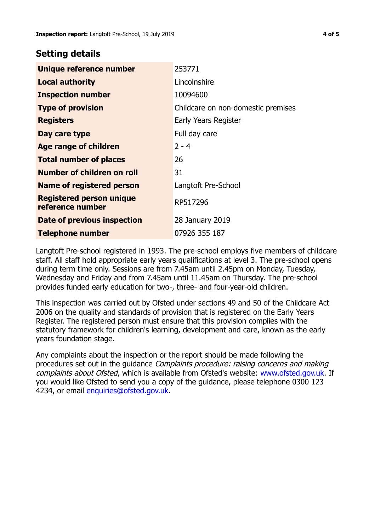## **Setting details**

| Unique reference number                             | 253771                             |
|-----------------------------------------------------|------------------------------------|
| <b>Local authority</b>                              | Lincolnshire                       |
| <b>Inspection number</b>                            | 10094600                           |
| <b>Type of provision</b>                            | Childcare on non-domestic premises |
| <b>Registers</b>                                    | Early Years Register               |
| Day care type                                       | Full day care                      |
| <b>Age range of children</b>                        | $2 - 4$                            |
| <b>Total number of places</b>                       | 26                                 |
| Number of children on roll                          | 31                                 |
| <b>Name of registered person</b>                    | Langtoft Pre-School                |
| <b>Registered person unique</b><br>reference number | RP517296                           |
| Date of previous inspection                         | 28 January 2019                    |
| <b>Telephone number</b>                             | 07926 355 187                      |

Langtoft Pre-school registered in 1993. The pre-school employs five members of childcare staff. All staff hold appropriate early years qualifications at level 3. The pre-school opens during term time only. Sessions are from 7.45am until 2.45pm on Monday, Tuesday, Wednesday and Friday and from 7.45am until 11.45am on Thursday. The pre-school provides funded early education for two-, three- and four-year-old children.

This inspection was carried out by Ofsted under sections 49 and 50 of the Childcare Act 2006 on the quality and standards of provision that is registered on the Early Years Register. The registered person must ensure that this provision complies with the statutory framework for children's learning, development and care, known as the early years foundation stage.

Any complaints about the inspection or the report should be made following the procedures set out in the guidance Complaints procedure: raising concerns and making complaints about Ofsted, which is available from Ofsted's website: www.ofsted.gov.uk. If you would like Ofsted to send you a copy of the guidance, please telephone 0300 123 4234, or email [enquiries@ofsted.gov.uk.](mailto:enquiries@ofsted.gov.uk)